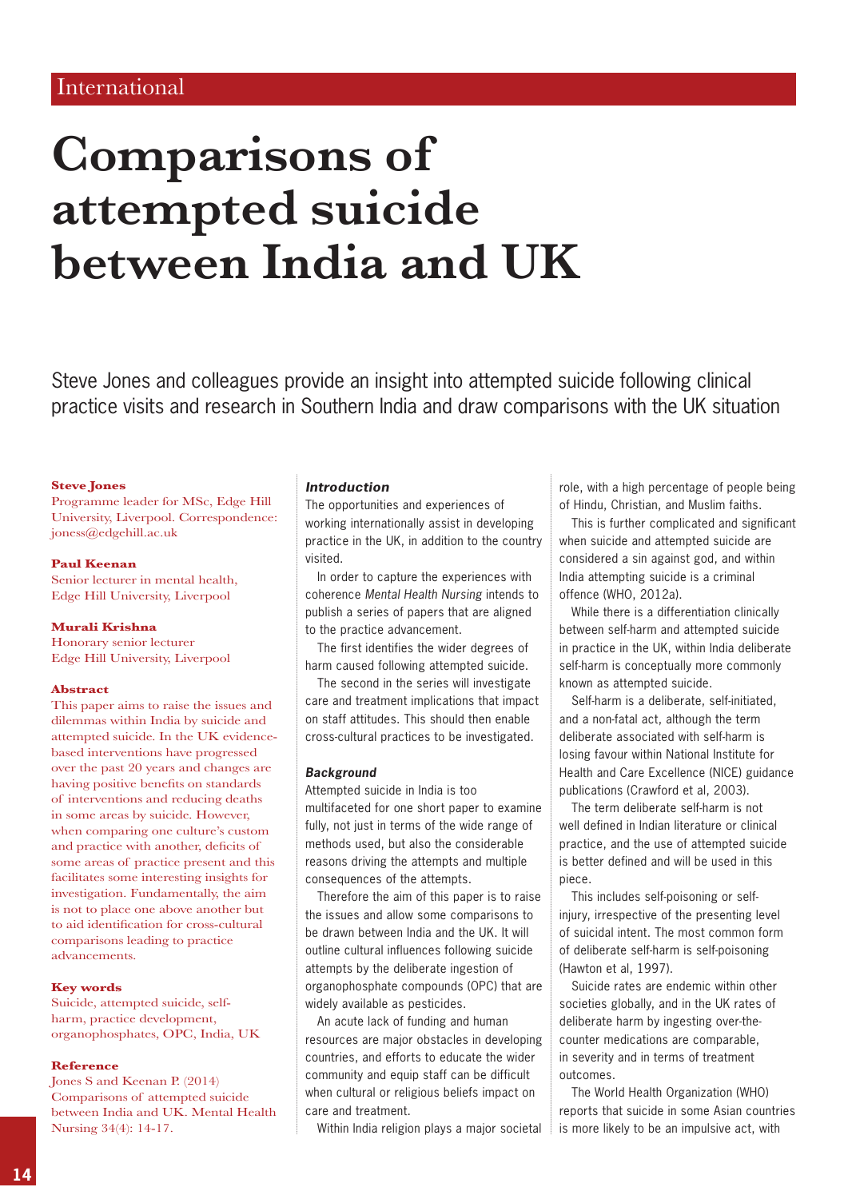# **Comparisons of attempted suicide between India and UK**

Steve Jones and colleagues provide an insight into attempted suicide following clinical practice visits and research in Southern India and draw comparisons with the UK situation

# **Steve Jones**

Programme leader for MSc, Edge Hill University, Liverpool. Correspondence: joness@edgehill.ac.uk

#### **Paul Keenan**

Senior lecturer in mental health, Edge Hill University, Liverpool

#### **Murali Krishna**

Honorary senior lecturer Edge Hill University, Liverpool

#### **Abstract**

This paper aims to raise the issues and dilemmas within India by suicide and attempted suicide. In the UK evidencebased interventions have progressed over the past 20 years and changes are having positive benefits on standards of interventions and reducing deaths in some areas by suicide. However, when comparing one culture's custom and practice with another, deficits of some areas of practice present and this facilitates some interesting insights for investigation. Fundamentally, the aim is not to place one above another but to aid identification for cross-cultural comparisons leading to practice advancements.

# **Key words**

Suicide, attempted suicide, selfharm, practice development, organophosphates, OPC, India, UK

#### **Reference**

Jones S and Keenan P. (2014) Comparisons of attempted suicide between India and UK. Mental Health Nursing 34(4): 14-17.

# *Introduction*

The opportunities and experiences of working internationally assist in developing practice in the UK, in addition to the country visited.

In order to capture the experiences with coherence *Mental Health Nursing* intends to publish a series of papers that are aligned to the practice advancement.

The first identifies the wider degrees of harm caused following attempted suicide.

The second in the series will investigate care and treatment implications that impact on staff attitudes. This should then enable cross-cultural practices to be investigated.

# *Background*

Attempted suicide in India is too multifaceted for one short paper to examine fully, not just in terms of the wide range of methods used, but also the considerable reasons driving the attempts and multiple consequences of the attempts.

Therefore the aim of this paper is to raise the issues and allow some comparisons to be drawn between India and the UK. It will outline cultural influences following suicide attempts by the deliberate ingestion of organophosphate compounds (OPC) that are widely available as pesticides.

An acute lack of funding and human resources are major obstacles in developing countries, and efforts to educate the wider community and equip staff can be difficult when cultural or religious beliefs impact on care and treatment.

Within India religion plays a major societal

role, with a high percentage of people being of Hindu, Christian, and Muslim faiths.

This is further complicated and significant when suicide and attempted suicide are considered a sin against god, and within India attempting suicide is a criminal offence (WHO, 2012a).

While there is a differentiation clinically between self-harm and attempted suicide in practice in the UK, within India deliberate self-harm is conceptually more commonly known as attempted suicide.

Self-harm is a deliberate, self-initiated, and a non-fatal act, although the term deliberate associated with self-harm is losing favour within National Institute for Health and Care Excellence (NICE) guidance publications (Crawford et al, 2003).

The term deliberate self-harm is not well defined in Indian literature or clinical practice, and the use of attempted suicide is better defined and will be used in this piece.

This includes self-poisoning or selfinjury, irrespective of the presenting level of suicidal intent. The most common form of deliberate self-harm is self-poisoning (Hawton et al, 1997).

Suicide rates are endemic within other societies globally, and in the UK rates of deliberate harm by ingesting over-thecounter medications are comparable, in severity and in terms of treatment outcomes.

The World Health Organization (WHO) reports that suicide in some Asian countries is more likely to be an impulsive act, with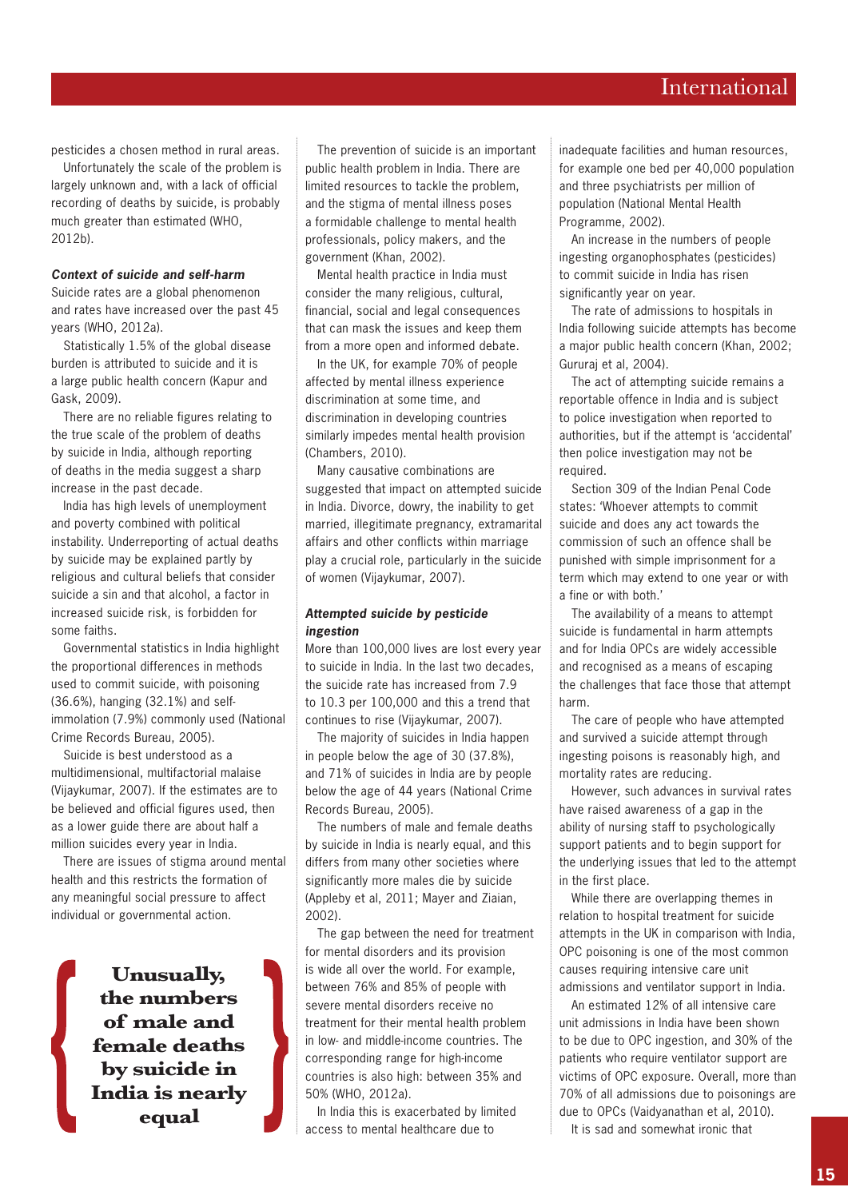# International

pesticides a chosen method in rural areas.

Unfortunately the scale of the problem is largely unknown and, with a lack of official recording of deaths by suicide, is probably much greater than estimated (WHO, 2012b).

# *Context of suicide and self-harm*

Suicide rates are a global phenomenon and rates have increased over the past 45 years (WHO, 2012a).

Statistically 1.5% of the global disease burden is attributed to suicide and it is a large public health concern (Kapur and Gask, 2009).

There are no reliable figures relating to the true scale of the problem of deaths by suicide in India, although reporting of deaths in the media suggest a sharp increase in the past decade.

India has high levels of unemployment and poverty combined with political instability. Underreporting of actual deaths by suicide may be explained partly by religious and cultural beliefs that consider suicide a sin and that alcohol, a factor in increased suicide risk, is forbidden for some faiths.

Governmental statistics in India highlight the proportional differences in methods used to commit suicide, with poisoning (36.6%), hanging (32.1%) and selfimmolation (7.9%) commonly used (National Crime Records Bureau, 2005).

Suicide is best understood as a multidimensional, multifactorial malaise (Vijaykumar, 2007). If the estimates are to be believed and official figures used, then as a lower guide there are about half a million suicides every year in India.

There are issues of stigma around mental health and this restricts the formation of any meaningful social pressure to affect individual or governmental action.

> **Unusually, the numbers of male and female deaths by suicide in India is nearly equal**

The prevention of suicide is an important public health problem in India. There are limited resources to tackle the problem, and the stigma of mental illness poses a formidable challenge to mental health professionals, policy makers, and the government (Khan, 2002).

Mental health practice in India must consider the many religious, cultural, financial, social and legal consequences that can mask the issues and keep them from a more open and informed debate.

In the UK, for example 70% of people affected by mental illness experience discrimination at some time, and discrimination in developing countries similarly impedes mental health provision (Chambers, 2010).

Many causative combinations are suggested that impact on attempted suicide in India. Divorce, dowry, the inability to get married, illegitimate pregnancy, extramarital affairs and other conflicts within marriage play a crucial role, particularly in the suicide of women (Vijaykumar, 2007).

# *Attempted suicide by pesticide ingestion*

More than 100,000 lives are lost every year to suicide in India. In the last two decades, the suicide rate has increased from 7.9 to 10.3 per 100,000 and this a trend that continues to rise (Vijaykumar, 2007).

The majority of suicides in India happen in people below the age of 30 (37.8%), and 71% of suicides in India are by people below the age of 44 years (National Crime Records Bureau, 2005).

The numbers of male and female deaths by suicide in India is nearly equal, and this differs from many other societies where significantly more males die by suicide (Appleby et al, 2011; Mayer and Ziaian, 2002).

The gap between the need for treatment for mental disorders and its provision is wide all over the world. For example, between 76% and 85% of people with severe mental disorders receive no treatment for their mental health problem in low- and middle-income countries. The corresponding range for high-income countries is also high: between 35% and 50% (WHO, 2012a).

In India this is exacerbated by limited access to mental healthcare due to

inadequate facilities and human resources, for example one bed per 40,000 population and three psychiatrists per million of population (National Mental Health Programme, 2002).

An increase in the numbers of people ingesting organophosphates (pesticides) to commit suicide in India has risen significantly year on year.

The rate of admissions to hospitals in India following suicide attempts has become a major public health concern (Khan, 2002; Gururaj et al, 2004).

The act of attempting suicide remains a reportable offence in India and is subject to police investigation when reported to authorities, but if the attempt is 'accidental' then police investigation may not be required.

Section 309 of the Indian Penal Code states: 'Whoever attempts to commit suicide and does any act towards the commission of such an offence shall be punished with simple imprisonment for a term which may extend to one year or with a fine or with both.'

The availability of a means to attempt suicide is fundamental in harm attempts and for India OPCs are widely accessible and recognised as a means of escaping the challenges that face those that attempt harm.

The care of people who have attempted and survived a suicide attempt through ingesting poisons is reasonably high, and mortality rates are reducing.

However, such advances in survival rates have raised awareness of a gap in the ability of nursing staff to psychologically support patients and to begin support for the underlying issues that led to the attempt in the first place.

While there are overlapping themes in relation to hospital treatment for suicide attempts in the UK in comparison with India, OPC poisoning is one of the most common causes requiring intensive care unit admissions and ventilator support in India.

An estimated 12% of all intensive care unit admissions in India have been shown to be due to OPC ingestion, and 30% of the patients who require ventilator support are victims of OPC exposure. Overall, more than 70% of all admissions due to poisonings are due to OPCs (Vaidyanathan et al, 2010).

It is sad and somewhat ironic that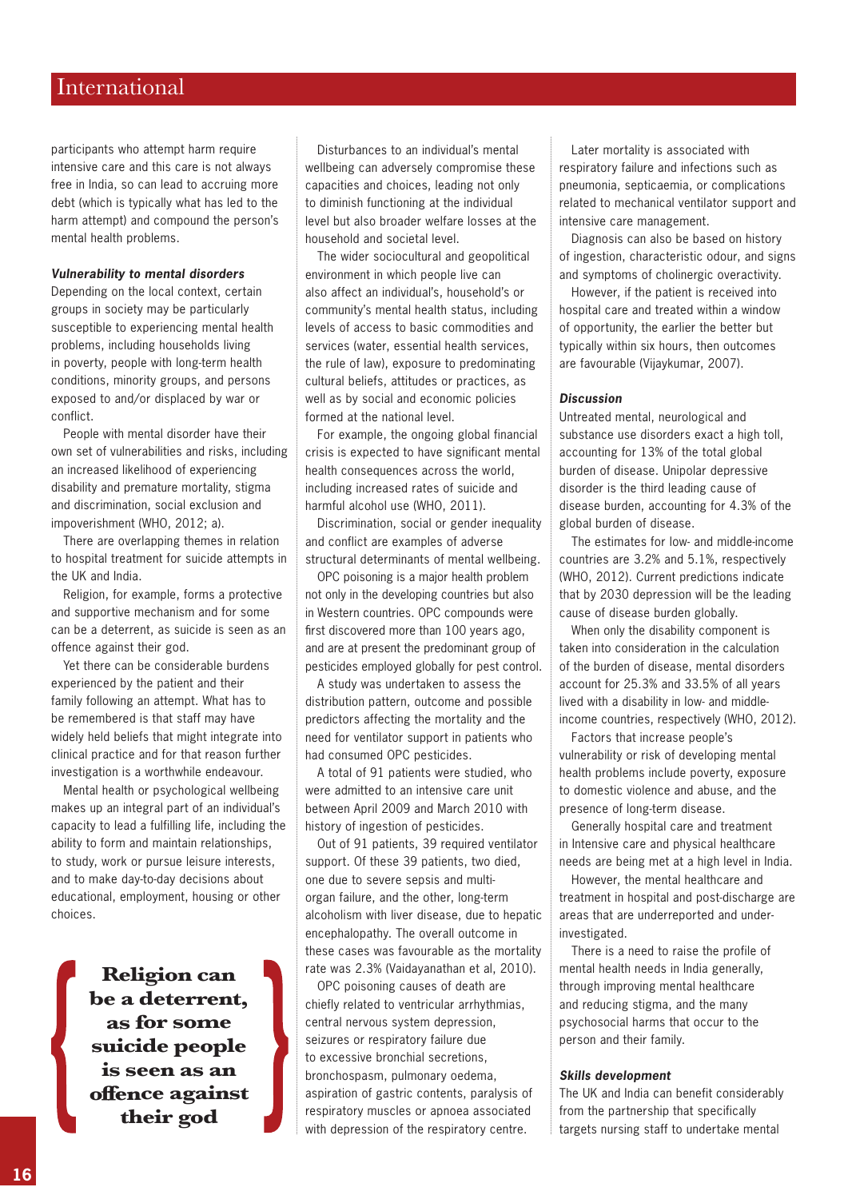# International

participants who attempt harm require intensive care and this care is not always free in India, so can lead to accruing more debt (which is typically what has led to the harm attempt) and compound the person's mental health problems.

## *Vulnerability to mental disorders*

Depending on the local context, certain groups in society may be particularly susceptible to experiencing mental health problems, including households living in poverty, people with long-term health conditions, minority groups, and persons exposed to and/or displaced by war or conflict.

People with mental disorder have their own set of vulnerabilities and risks, including an increased likelihood of experiencing disability and premature mortality, stigma and discrimination, social exclusion and impoverishment (WHO, 2012; a).

There are overlapping themes in relation to hospital treatment for suicide attempts in the UK and India.

Religion, for example, forms a protective and supportive mechanism and for some can be a deterrent, as suicide is seen as an offence against their god.

Yet there can be considerable burdens experienced by the patient and their family following an attempt. What has to be remembered is that staff may have widely held beliefs that might integrate into clinical practice and for that reason further investigation is a worthwhile endeavour.

Mental health or psychological wellbeing makes up an integral part of an individual's capacity to lead a fulfilling life, including the ability to form and maintain relationships, to study, work or pursue leisure interests, and to make day-to-day decisions about educational, employment, housing or other choices.

> **Religion can be a deterrent, as for some suicide people is seen as an offence against their god**

Disturbances to an individual's mental wellbeing can adversely compromise these capacities and choices, leading not only to diminish functioning at the individual level but also broader welfare losses at the household and societal level.

The wider sociocultural and geopolitical environment in which people live can also affect an individual's, household's or community's mental health status, including levels of access to basic commodities and services (water, essential health services, the rule of law), exposure to predominating cultural beliefs, attitudes or practices, as well as by social and economic policies formed at the national level.

For example, the ongoing global financial crisis is expected to have significant mental health consequences across the world, including increased rates of suicide and harmful alcohol use (WHO, 2011).

Discrimination, social or gender inequality and conflict are examples of adverse structural determinants of mental wellbeing.

OPC poisoning is a major health problem not only in the developing countries but also in Western countries. OPC compounds were first discovered more than 100 years ago, and are at present the predominant group of pesticides employed globally for pest control.

A study was undertaken to assess the distribution pattern, outcome and possible predictors affecting the mortality and the need for ventilator support in patients who had consumed OPC pesticides.

A total of 91 patients were studied, who were admitted to an intensive care unit between April 2009 and March 2010 with history of ingestion of pesticides.

Out of 91 patients, 39 required ventilator support. Of these 39 patients, two died, one due to severe sepsis and multiorgan failure, and the other, long-term alcoholism with liver disease, due to hepatic encephalopathy. The overall outcome in these cases was favourable as the mortality rate was 2.3% (Vaidayanathan et al, 2010).

OPC poisoning causes of death are chiefly related to ventricular arrhythmias, central nervous system depression, seizures or respiratory failure due to excessive bronchial secretions, bronchospasm, pulmonary oedema, aspiration of gastric contents, paralysis of respiratory muscles or apnoea associated with depression of the respiratory centre.

Later mortality is associated with respiratory failure and infections such as pneumonia, septicaemia, or complications related to mechanical ventilator support and intensive care management.

Diagnosis can also be based on history of ingestion, characteristic odour, and signs and symptoms of cholinergic overactivity.

However, if the patient is received into hospital care and treated within a window of opportunity, the earlier the better but typically within six hours, then outcomes are favourable (Vijaykumar, 2007).

# *Discussion*

Untreated mental, neurological and substance use disorders exact a high toll, accounting for 13% of the total global burden of disease. Unipolar depressive disorder is the third leading cause of disease burden, accounting for 4.3% of the global burden of disease.

The estimates for low- and middle-income countries are 3.2% and 5.1%, respectively (WHO, 2012). Current predictions indicate that by 2030 depression will be the leading cause of disease burden globally.

When only the disability component is taken into consideration in the calculation of the burden of disease, mental disorders account for 25.3% and 33.5% of all years lived with a disability in low- and middleincome countries, respectively (WHO, 2012).

Factors that increase people's vulnerability or risk of developing mental health problems include poverty, exposure to domestic violence and abuse, and the presence of long-term disease.

Generally hospital care and treatment in Intensive care and physical healthcare needs are being met at a high level in India.

However, the mental healthcare and treatment in hospital and post-discharge are areas that are underreported and underinvestigated.

There is a need to raise the profile of mental health needs in India generally, through improving mental healthcare and reducing stigma, and the many psychosocial harms that occur to the person and their family.

## *Skills development*

The UK and India can benefit considerably from the partnership that specifically targets nursing staff to undertake mental